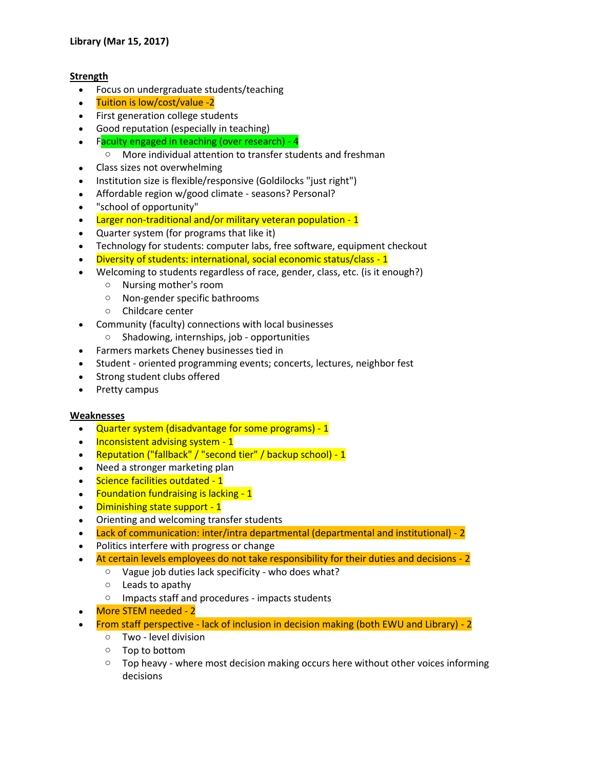## **Strength**

- Focus on undergraduate students/teaching
- Tuition is low/cost/value -2
- First generation college students
- Good reputation (especially in teaching)
- Faculty engaged in teaching (over research) 4
	- o More individual attention to transfer students and freshman
- Class sizes not overwhelming
- Institution size is flexible/responsive (Goldilocks "just right")
- Affordable region w/good climate seasons? Personal?
- "school of opportunity"
- Larger non-traditional and/or military veteran population 1
- Quarter system (for programs that like it)
- Technology for students: computer labs, free software, equipment checkout
- Diversity of students: international, social economic status/class 1
- Welcoming to students regardless of race, gender, class, etc. (is it enough?)
	- o Nursing mother's room
	- o Non-gender specific bathrooms
	- o Childcare center
- Community (faculty) connections with local businesses
	- o Shadowing, internships, job opportunities
- Farmers markets Cheney businesses tied in
- Student oriented programming events; concerts, lectures, neighbor fest
- Strong student clubs offered
- Pretty campus

## **Weaknesses**

- Quarter system (disadvantage for some programs) 1
- Inconsistent advising system 1
- Reputation ("fallback" / "second tier" / backup school) 1
- Need a stronger marketing plan
- Science facilities outdated 1
- Foundation fundraising is lacking 1
- Diminishing state support 1
- Orienting and welcoming transfer students
- Lack of communication: inter/intra departmental (departmental and institutional) 2
- Politics interfere with progress or change
	- At certain levels employees do not take responsibility for their duties and decisions 2
		- o Vague job duties lack specificity who does what?
		- $\circ$  Leads to apathy
		- o Impacts staff and procedures impacts students
- More STEM needed 2
- From staff perspective lack of inclusion in decision making (both EWU and Library) 2
	- o Two level division
	- o Top to bottom
	- $\circ$  Top heavy where most decision making occurs here without other voices informing decisions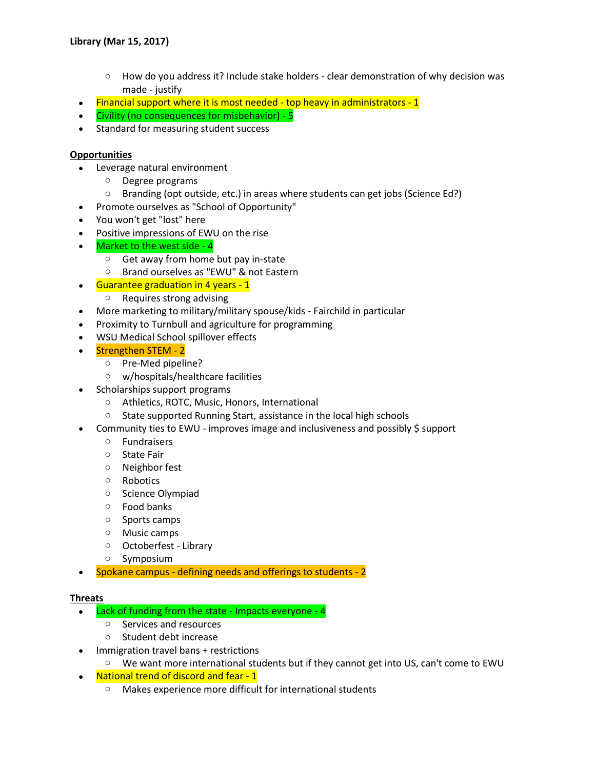- $\circ$  How do you address it? Include stake holders clear demonstration of why decision was made - justify
- $\bullet$  Financial support where it is most needed top heavy in administrators 1
- Civility (no consequences for misbehavior) 5
- Standard for measuring student success

## **Opportunities**

- Leverage natural environment
	- o Degree programs
	- $\circ$  Branding (opt outside, etc.) in areas where students can get jobs (Science Ed?)
- Promote ourselves as "School of Opportunity"
- You won't get "lost" here
- Positive impressions of EWU on the rise
- Market to the west side 4
	- o Get away from home but pay in-state
	- o Brand ourselves as "EWU" & not Eastern
- $\cdot$  Guarantee graduation in 4 years 1
	- o Requires strong advising
- More marketing to military/military spouse/kids Fairchild in particular
- Proximity to Turnbull and agriculture for programming
- WSU Medical School spillover effects
- Strengthen STEM 2
	- o Pre-Med pipeline?
	- o w/hospitals/healthcare facilities
- Scholarships support programs
	- o Athletics, ROTC, Music, Honors, International
	- o State supported Running Start, assistance in the local high schools
- Community ties to EWU improves image and inclusiveness and possibly \$ support
	- o Fundraisers
	- o State Fair
	- o Neighbor fest
	- o Robotics
	- o Science Olympiad
	- o Food banks
	- o Sports camps
	- o Music camps
	- o Octoberfest Library
	- o Symposium
- Spokane campus defining needs and offerings to students 2

## **Threats**

- Lack of funding from the state Impacts everyone 4
	- o Services and resources
	- o Student debt increase
- Immigration travel bans + restrictions
	- $\circ$  We want more international students but if they cannot get into US, can't come to EWU
- National trend of discord and fear 1
	- o Makes experience more difficult for international students